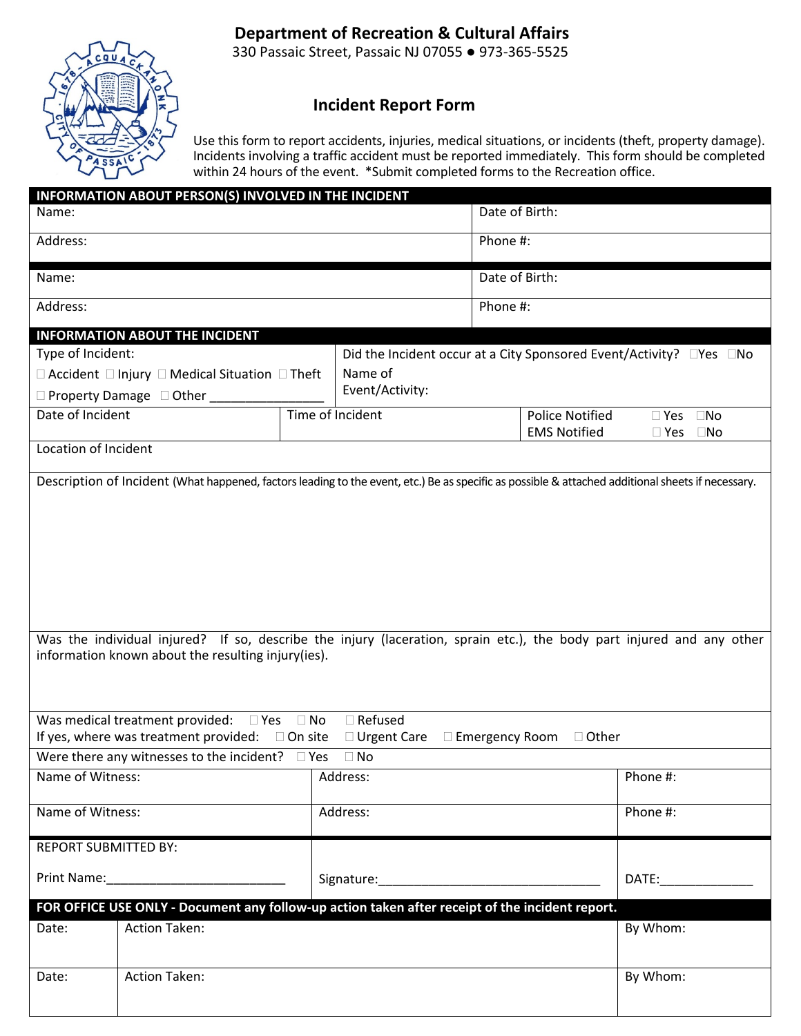# **Department of Recreation & Cultural Affairs**



330 Passaic Street, Passaic NJ 07055 ● 973‐365‐5525

## **Incident Report Form**

Use this form to report accidents, injuries, medical situations, or incidents (theft, property damage). Incidents involving a traffic accident must be reported immediately. This form should be completed within 24 hours of the event. \*Submit completed forms to the Recreation office.

| INFORMATION ABOUT PERSON(S) INVOLVED IN THE INCIDENT<br>Name:                                                                                                                                                                 |                                                                                                                                                                                                                                                                                                                                                                                                                             |                                                                       |                                         | Date of Birth:        |                        |                                                                                                                                                                                                                               |
|-------------------------------------------------------------------------------------------------------------------------------------------------------------------------------------------------------------------------------|-----------------------------------------------------------------------------------------------------------------------------------------------------------------------------------------------------------------------------------------------------------------------------------------------------------------------------------------------------------------------------------------------------------------------------|-----------------------------------------------------------------------|-----------------------------------------|-----------------------|------------------------|-------------------------------------------------------------------------------------------------------------------------------------------------------------------------------------------------------------------------------|
| Address:                                                                                                                                                                                                                      |                                                                                                                                                                                                                                                                                                                                                                                                                             |                                                                       |                                         | Phone #:              |                        |                                                                                                                                                                                                                               |
|                                                                                                                                                                                                                               |                                                                                                                                                                                                                                                                                                                                                                                                                             |                                                                       |                                         |                       |                        |                                                                                                                                                                                                                               |
| Name:                                                                                                                                                                                                                         |                                                                                                                                                                                                                                                                                                                                                                                                                             |                                                                       | Date of Birth:                          |                       |                        |                                                                                                                                                                                                                               |
| Address:                                                                                                                                                                                                                      |                                                                                                                                                                                                                                                                                                                                                                                                                             |                                                                       |                                         | Phone #:              |                        |                                                                                                                                                                                                                               |
|                                                                                                                                                                                                                               | <b>INFORMATION ABOUT THE INCIDENT</b>                                                                                                                                                                                                                                                                                                                                                                                       |                                                                       |                                         |                       |                        |                                                                                                                                                                                                                               |
| Type of Incident:                                                                                                                                                                                                             |                                                                                                                                                                                                                                                                                                                                                                                                                             | Did the Incident occur at a City Sponsored Event/Activity? □ Yes □ No |                                         |                       |                        |                                                                                                                                                                                                                               |
| $\Box$ Accident $\Box$ Injury $\Box$ Medical Situation $\Box$ Theft                                                                                                                                                           |                                                                                                                                                                                                                                                                                                                                                                                                                             |                                                                       | Name of                                 |                       |                        |                                                                                                                                                                                                                               |
|                                                                                                                                                                                                                               | $\Box$ Property Damage $\Box$ Other                                                                                                                                                                                                                                                                                                                                                                                         |                                                                       | Event/Activity:                         |                       |                        |                                                                                                                                                                                                                               |
| Date of Incident                                                                                                                                                                                                              | Time of Incident                                                                                                                                                                                                                                                                                                                                                                                                            |                                                                       | <b>EMS Notified</b>                     |                       | <b>Police Notified</b> | $\Box$ Yes $\Box$ No<br>$\square$ Yes<br>$\square$ No                                                                                                                                                                         |
| Location of Incident                                                                                                                                                                                                          |                                                                                                                                                                                                                                                                                                                                                                                                                             |                                                                       |                                         |                       |                        |                                                                                                                                                                                                                               |
|                                                                                                                                                                                                                               | Description of Incident (What happened, factors leading to the event, etc.) Be as specific as possible & attached additional sheets if necessary.<br>Was the individual injured? If so, describe the injury (laceration, sprain etc.), the body part injured and any other<br>information known about the resulting injury(ies).<br>Was medical treatment provided:<br>If yes, where was treatment provided: $\Box$ On site | $\Box$ Yes $\Box$ No                                                  | $\Box$ Refused<br>□ Urgent Care         | $\Box$ Emergency Room | $\Box$ Other           |                                                                                                                                                                                                                               |
|                                                                                                                                                                                                                               | Were there any witnesses to the incident? $\Box$ Yes                                                                                                                                                                                                                                                                                                                                                                        |                                                                       | $\Box$ No                               |                       |                        |                                                                                                                                                                                                                               |
| Name of Witness:                                                                                                                                                                                                              |                                                                                                                                                                                                                                                                                                                                                                                                                             |                                                                       | Address:                                |                       |                        | Phone #:                                                                                                                                                                                                                      |
| Name of Witness:                                                                                                                                                                                                              |                                                                                                                                                                                                                                                                                                                                                                                                                             |                                                                       | Address:                                |                       |                        | Phone #:                                                                                                                                                                                                                      |
| <b>REPORT SUBMITTED BY:</b>                                                                                                                                                                                                   |                                                                                                                                                                                                                                                                                                                                                                                                                             |                                                                       |                                         |                       |                        |                                                                                                                                                                                                                               |
| Print Name: Name: Name: Name: Name: Name: Name: Name: Name: Name: Name: Name: Name: Name: Name: Name: Name: Name: Name: Name: Name: Name: Name: Name: Name: Name: Name: Name: Name: Name: Name: Name: Name: Name: Name: Name: |                                                                                                                                                                                                                                                                                                                                                                                                                             |                                                                       | Signature: Management of the Signature: |                       |                        | DATE: and the state of the state of the state of the state of the state of the state of the state of the state of the state of the state of the state of the state of the state of the state of the state of the state of the |
|                                                                                                                                                                                                                               | FOR OFFICE USE ONLY - Document any follow-up action taken after receipt of the incident report.                                                                                                                                                                                                                                                                                                                             |                                                                       |                                         |                       |                        |                                                                                                                                                                                                                               |
| Date:                                                                                                                                                                                                                         | <b>Action Taken:</b>                                                                                                                                                                                                                                                                                                                                                                                                        |                                                                       |                                         |                       |                        | By Whom:                                                                                                                                                                                                                      |
| Date:                                                                                                                                                                                                                         | <b>Action Taken:</b>                                                                                                                                                                                                                                                                                                                                                                                                        |                                                                       |                                         |                       |                        | By Whom:                                                                                                                                                                                                                      |